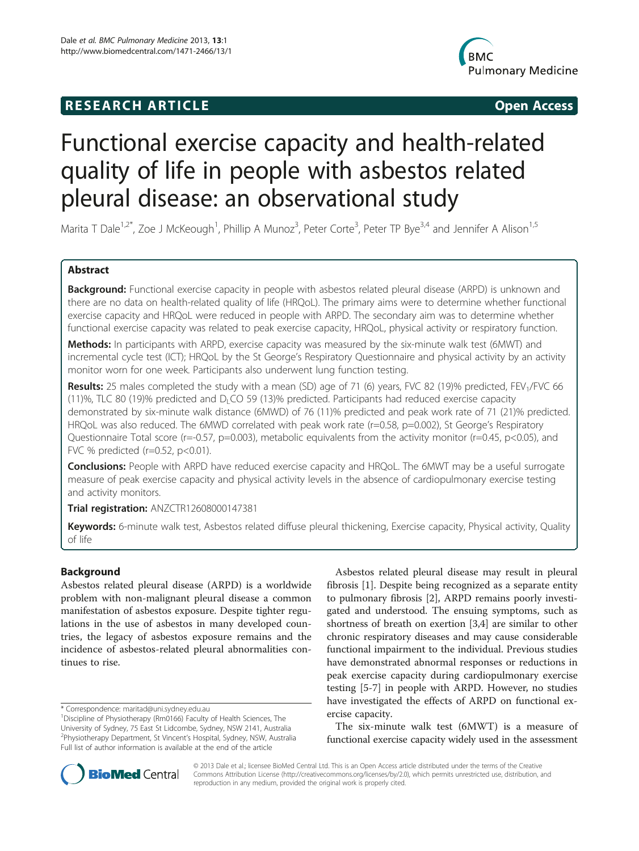## **RESEARCH ARTICLE CONSUMING THE OPEN ACCESS**



# Functional exercise capacity and health-related quality of life in people with asbestos related pleural disease: an observational study

Marita T Dale<sup>1,2\*</sup>, Zoe J McKeough<sup>1</sup>, Phillip A Munoz<sup>3</sup>, Peter Corte<sup>3</sup>, Peter TP Bye<sup>3,4</sup> and Jennifer A Alison<sup>1,5</sup>

## Abstract

Background: Functional exercise capacity in people with asbestos related pleural disease (ARPD) is unknown and there are no data on health-related quality of life (HRQoL). The primary aims were to determine whether functional exercise capacity and HRQoL were reduced in people with ARPD. The secondary aim was to determine whether functional exercise capacity was related to peak exercise capacity, HRQoL, physical activity or respiratory function.

Methods: In participants with ARPD, exercise capacity was measured by the six-minute walk test (6MWT) and incremental cycle test (ICT); HRQoL by the St George's Respiratory Questionnaire and physical activity by an activity monitor worn for one week. Participants also underwent lung function testing.

Results: 25 males completed the study with a mean (SD) age of 71 (6) years, FVC 82 (19)% predicted, FEV<sub>1</sub>/FVC 66 (11)%, TLC 80 (19)% predicted and  $D<sub>l</sub> CO$  59 (13)% predicted. Participants had reduced exercise capacity demonstrated by six-minute walk distance (6MWD) of 76 (11)% predicted and peak work rate of 71 (21)% predicted. HRQoL was also reduced. The 6MWD correlated with peak work rate (r=0.58, p=0.002), St George's Respiratory Questionnaire Total score (r=-0.57, p=0.003), metabolic equivalents from the activity monitor (r=0.45, p<0.05), and FVC % predicted (r=0.52, p<0.01).

**Conclusions:** People with ARPD have reduced exercise capacity and HRQoL. The 6MWT may be a useful surrogate measure of peak exercise capacity and physical activity levels in the absence of cardiopulmonary exercise testing and activity monitors.

Trial registration: ANZCTR12608000147381

Keywords: 6-minute walk test, Asbestos related diffuse pleural thickening, Exercise capacity, Physical activity, Quality of life

## Background

Asbestos related pleural disease (ARPD) is a worldwide problem with non-malignant pleural disease a common manifestation of asbestos exposure. Despite tighter regulations in the use of asbestos in many developed countries, the legacy of asbestos exposure remains and the incidence of asbestos-related pleural abnormalities continues to rise.

\* Correspondence: [maritad@uni.sydney.edu.au](mailto:maritad@uni.sydney.edu.au) <sup>1</sup>

Asbestos related pleural disease may result in pleural fibrosis [\[1](#page-5-0)]. Despite being recognized as a separate entity to pulmonary fibrosis [\[2](#page-5-0)], ARPD remains poorly investigated and understood. The ensuing symptoms, such as shortness of breath on exertion [[3,4\]](#page-5-0) are similar to other chronic respiratory diseases and may cause considerable functional impairment to the individual. Previous studies have demonstrated abnormal responses or reductions in peak exercise capacity during cardiopulmonary exercise testing [[5-7](#page-5-0)] in people with ARPD. However, no studies have investigated the effects of ARPD on functional exercise capacity.

The six-minute walk test (6MWT) is a measure of functional exercise capacity widely used in the assessment



© 2013 Dale et al.; licensee BioMed Central Ltd. This is an Open Access article distributed under the terms of the Creative Commons Attribution License [\(http://creativecommons.org/licenses/by/2.0\)](http://creativecommons.org/licenses/by/2.0), which permits unrestricted use, distribution, and reproduction in any medium, provided the original work is properly cited.

Discipline of Physiotherapy (Rm0166) Faculty of Health Sciences, The University of Sydney, 75 East St Lidcombe, Sydney, NSW 2141, Australia 2 Physiotherapy Department, St Vincent's Hospital, Sydney, NSW, Australia Full list of author information is available at the end of the article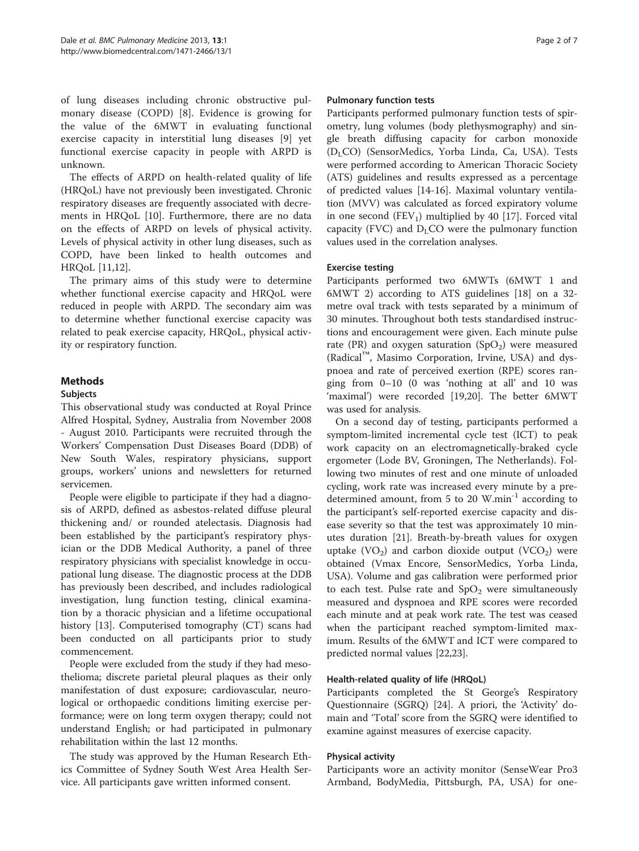of lung diseases including chronic obstructive pulmonary disease (COPD) [\[8](#page-5-0)]. Evidence is growing for the value of the 6MWT in evaluating functional exercise capacity in interstitial lung diseases [\[9](#page-5-0)] yet functional exercise capacity in people with ARPD is unknown.

The effects of ARPD on health-related quality of life (HRQoL) have not previously been investigated. Chronic respiratory diseases are frequently associated with decrements in HRQoL [\[10\]](#page-5-0). Furthermore, there are no data on the effects of ARPD on levels of physical activity. Levels of physical activity in other lung diseases, such as COPD, have been linked to health outcomes and HRQoL [[11,12\]](#page-5-0).

The primary aims of this study were to determine whether functional exercise capacity and HRQoL were reduced in people with ARPD. The secondary aim was to determine whether functional exercise capacity was related to peak exercise capacity, HRQoL, physical activity or respiratory function.

## Methods

## **Subjects**

This observational study was conducted at Royal Prince Alfred Hospital, Sydney, Australia from November 2008 - August 2010. Participants were recruited through the Workers' Compensation Dust Diseases Board (DDB) of New South Wales, respiratory physicians, support groups, workers' unions and newsletters for returned servicemen.

People were eligible to participate if they had a diagnosis of ARPD, defined as asbestos-related diffuse pleural thickening and/ or rounded atelectasis. Diagnosis had been established by the participant's respiratory physician or the DDB Medical Authority, a panel of three respiratory physicians with specialist knowledge in occupational lung disease. The diagnostic process at the DDB has previously been described, and includes radiological investigation, lung function testing, clinical examination by a thoracic physician and a lifetime occupational history [[13\]](#page-5-0). Computerised tomography (CT) scans had been conducted on all participants prior to study commencement.

People were excluded from the study if they had mesothelioma; discrete parietal pleural plaques as their only manifestation of dust exposure; cardiovascular, neurological or orthopaedic conditions limiting exercise performance; were on long term oxygen therapy; could not understand English; or had participated in pulmonary rehabilitation within the last 12 months.

The study was approved by the Human Research Ethics Committee of Sydney South West Area Health Service. All participants gave written informed consent.

## Pulmonary function tests

Participants performed pulmonary function tests of spirometry, lung volumes (body plethysmography) and single breath diffusing capacity for carbon monoxide (D<sub>L</sub>CO) (SensorMedics, Yorba Linda, Ca, USA). Tests were performed according to American Thoracic Society (ATS) guidelines and results expressed as a percentage of predicted values [[14-16](#page-5-0)]. Maximal voluntary ventilation (MVV) was calculated as forced expiratory volume in one second (FEV<sub>1</sub>) multiplied by 40 [[17](#page-5-0)]. Forced vital capacity (FVC) and  $D<sub>L</sub>CO$  were the pulmonary function values used in the correlation analyses.

## Exercise testing

Participants performed two 6MWTs (6MWT 1 and 6MWT 2) according to ATS guidelines [[18](#page-5-0)] on a 32 metre oval track with tests separated by a minimum of 30 minutes. Throughout both tests standardised instructions and encouragement were given. Each minute pulse rate (PR) and oxygen saturation (SpO<sub>2</sub>) were measured (Radical™, Masimo Corporation, Irvine, USA) and dyspnoea and rate of perceived exertion (RPE) scores ranging from 0–10 (0 was 'nothing at all' and 10 was 'maximal') were recorded [\[19,20](#page-6-0)]. The better 6MWT was used for analysis.

On a second day of testing, participants performed a symptom-limited incremental cycle test (ICT) to peak work capacity on an electromagnetically-braked cycle ergometer (Lode BV, Groningen, The Netherlands). Following two minutes of rest and one minute of unloaded cycling, work rate was increased every minute by a predetermined amount, from 5 to 20 W.min $^{-1}$  according to the participant's self-reported exercise capacity and disease severity so that the test was approximately 10 minutes duration [\[21\]](#page-6-0). Breath-by-breath values for oxygen uptake  $(VO<sub>2</sub>)$  and carbon dioxide output  $(VCO<sub>2</sub>)$  were obtained (Vmax Encore, SensorMedics, Yorba Linda, USA). Volume and gas calibration were performed prior to each test. Pulse rate and  $SpO<sub>2</sub>$  were simultaneously measured and dyspnoea and RPE scores were recorded each minute and at peak work rate. The test was ceased when the participant reached symptom-limited maximum. Results of the 6MWT and ICT were compared to predicted normal values [\[22,23](#page-6-0)].

## Health-related quality of life (HRQoL)

Participants completed the St George's Respiratory Questionnaire (SGRQ) [\[24](#page-6-0)]. A priori, the 'Activity' domain and 'Total' score from the SGRQ were identified to examine against measures of exercise capacity.

## Physical activity

Participants wore an activity monitor (SenseWear Pro3 Armband, BodyMedia, Pittsburgh, PA, USA) for one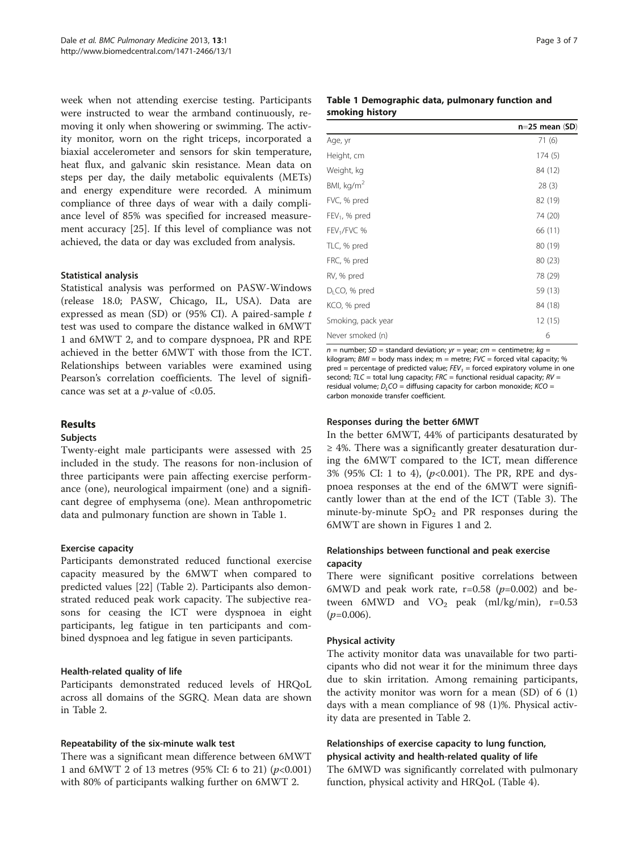week when not attending exercise testing. Participants were instructed to wear the armband continuously, removing it only when showering or swimming. The activity monitor, worn on the right triceps, incorporated a biaxial accelerometer and sensors for skin temperature, heat flux, and galvanic skin resistance. Mean data on steps per day, the daily metabolic equivalents (METs) and energy expenditure were recorded. A minimum compliance of three days of wear with a daily compliance level of 85% was specified for increased measurement accuracy [\[25](#page-6-0)]. If this level of compliance was not achieved, the data or day was excluded from analysis.

## Statistical analysis

Statistical analysis was performed on PASW-Windows (release 18.0; PASW, Chicago, IL, USA). Data are expressed as mean (SD) or (95% CI). A paired-sample t test was used to compare the distance walked in 6MWT 1 and 6MWT 2, and to compare dyspnoea, PR and RPE achieved in the better 6MWT with those from the ICT. Relationships between variables were examined using Pearson's correlation coefficients. The level of significance was set at a  $p$ -value of <0.05.

## Results

## Subjects

Twenty-eight male participants were assessed with 25 included in the study. The reasons for non-inclusion of three participants were pain affecting exercise performance (one), neurological impairment (one) and a significant degree of emphysema (one). Mean anthropometric data and pulmonary function are shown in Table 1.

## Exercise capacity

Participants demonstrated reduced functional exercise capacity measured by the 6MWT when compared to predicted values [[22](#page-6-0)] (Table [2](#page-3-0)). Participants also demonstrated reduced peak work capacity. The subjective reasons for ceasing the ICT were dyspnoea in eight participants, leg fatigue in ten participants and combined dyspnoea and leg fatigue in seven participants.

## Health-related quality of life

Participants demonstrated reduced levels of HRQoL across all domains of the SGRQ. Mean data are shown in Table [2.](#page-3-0)

## Repeatability of the six-minute walk test

There was a significant mean difference between 6MWT 1 and 6MWT 2 of 13 metres (95% CI: 6 to 21)  $(p<0.001)$ with 80% of participants walking further on 6MWT 2.

## Table 1 Demographic data, pulmonary function and smoking history

|                           | $n=25$ mean $(SD)$ |
|---------------------------|--------------------|
| Age, yr                   | 71 (6)             |
| Height, cm                | 174(5)             |
| Weight, kg                | 84 (12)            |
| BMI, $kg/m2$              | 28(3)              |
| FVC, % pred               | 82 (19)            |
| $FEV1$ , % pred           | 74 (20)            |
| FEV <sub>1</sub> /FVC %   | 66 (11)            |
| TLC, % pred               | 80 (19)            |
| FRC, % pred               | 80 (23)            |
| RV, % pred                | 78 (29)            |
| D <sub>1</sub> CO, % pred | 59 (13)            |
| KCO, % pred               | 84 (18)            |
| Smoking, pack year        | 12(15)             |
| Never smoked (n)          | 6                  |

 $n =$  number; SD = standard deviation;  $yr =$  year;  $cm =$  centimetre;  $kg =$ kilogram;  $BMI = body$  mass index; m = metre;  $FVC =$  forced vital capacity; % pred = percentage of predicted value;  $FEV_1$  = forced expiratory volume in one second;  $TLC = total$  lung capacity;  $FRC =$  functional residual capacity;  $RV =$ residual volume;  $D<sub>L</sub>CO =$  diffusing capacity for carbon monoxide;  $KCO =$ carbon monoxide transfer coefficient.

## Responses during the better 6MWT

In the better 6MWT, 44% of participants desaturated by  $\geq$  4%. There was a significantly greater desaturation during the 6MWT compared to the ICT, mean difference 3% (95% CI: 1 to 4),  $(p<0.001)$ . The PR, RPE and dyspnoea responses at the end of the 6MWT were significantly lower than at the end of the ICT (Table [3](#page-3-0)). The minute-by-minute  $SpO<sub>2</sub>$  and PR responses during the 6MWT are shown in Figures [1](#page-3-0) and [2](#page-4-0).

## Relationships between functional and peak exercise capacity

There were significant positive correlations between 6MWD and peak work rate,  $r=0.58$  ( $p=0.002$ ) and between 6MWD and  $VO_2$  peak (ml/kg/min), r=0.53  $(p=0.006)$ .

## Physical activity

The activity monitor data was unavailable for two participants who did not wear it for the minimum three days due to skin irritation. Among remaining participants, the activity monitor was worn for a mean  $(SD)$  of 6  $(1)$ days with a mean compliance of 98 (1)%. Physical activity data are presented in Table [2.](#page-3-0)

## Relationships of exercise capacity to lung function, physical activity and health-related quality of life

The 6MWD was significantly correlated with pulmonary function, physical activity and HRQoL (Table [4\)](#page-4-0).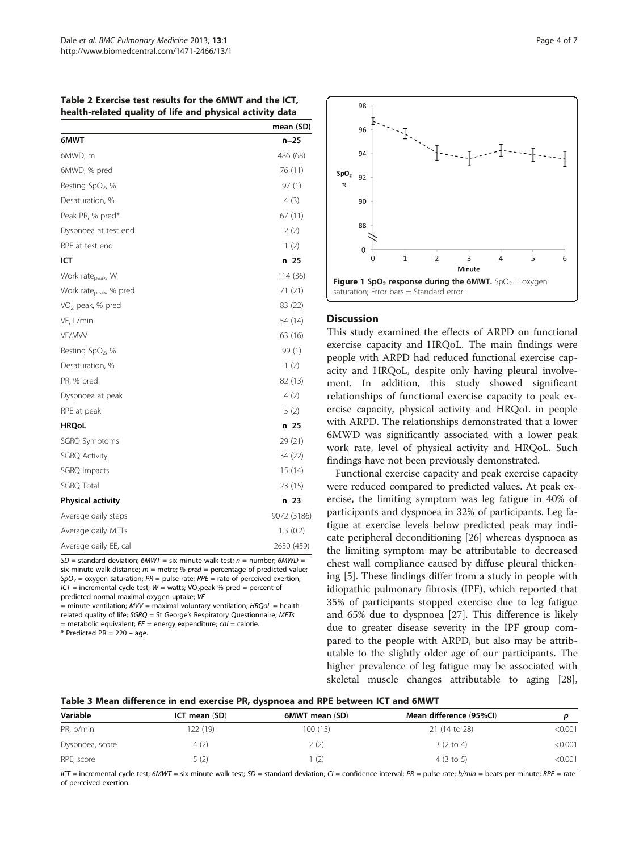<span id="page-3-0"></span>Table 2 Exercise test results for the 6MWT and the ICT, health-related quality of life and physical activity data

|                                    | mean (SD)   |
|------------------------------------|-------------|
| 6MWT                               | $n=25$      |
| 6MWD, m                            | 486 (68)    |
| 6MWD, % pred                       | 76 (11)     |
| Resting SpO <sub>2</sub> , %       | 97(1)       |
| Desaturation, %                    | 4(3)        |
| Peak PR, % pred*                   | 67 (11)     |
| Dyspnoea at test end               | 2(2)        |
| RPE at test end                    | 1(2)        |
| ICT                                | $n=25$      |
| Work rate <sub>peak</sub> , W      | 114 (36)    |
| Work rate <sub>peak</sub> , % pred | 71 (21)     |
| VO <sub>2</sub> peak, % pred       | 83 (22)     |
| VE, L/min                          | 54 (14)     |
| VE/MW                              | 63 (16)     |
| Resting SpO <sub>2</sub> , %       | 99 (1)      |
| Desaturation, %                    | 1(2)        |
| PR, % pred                         | 82 (13)     |
| Dyspnoea at peak                   | 4(2)        |
| RPE at peak                        | 5(2)        |
| <b>HRQoL</b>                       | n=25        |
| SGRQ Symptoms                      | 29 (21)     |
| <b>SGRQ Activity</b>               | 34 (22)     |
| SGRQ Impacts                       | 15 (14)     |
| <b>SGRQ Total</b>                  | 23 (15)     |
| Physical activity                  | $n = 23$    |
| Average daily steps                | 9072 (3186) |
| Average daily METs                 | 1.3(0.2)    |
| Average daily EE, cal              | 2630 (459)  |

 $SD =$  standard deviation;  $6MWT =$  six-minute walk test; n = number;  $6MWD =$ six-minute walk distance;  $m =$  metre; %  $pred =$  percentage of predicted value;  $SpO<sub>2</sub>$  = oxygen saturation;  $PR$  = pulse rate;  $RPE$  = rate of perceived exertion;  $ICT = incremental cycle test; W = watts; VO<sub>2</sub>peak % pred = percent of$ predicted normal maximal oxygen uptake; VE

 $=$  minute ventilation;  $MV =$  maximal voluntary ventilation;  $HRQOL =$  healthrelated quality of life; SGRQ = St George's Respiratory Questionnaire; METs = metabolic equivalent;  $EE$  = energy expenditure;  $cal$  = calorie.

 $*$  Predicted PR = 220 – age.



## **Discussion**

This study examined the effects of ARPD on functional exercise capacity and HRQoL. The main findings were people with ARPD had reduced functional exercise capacity and HRQoL, despite only having pleural involvement. In addition, this study showed significant relationships of functional exercise capacity to peak exercise capacity, physical activity and HRQoL in people with ARPD. The relationships demonstrated that a lower 6MWD was significantly associated with a lower peak work rate, level of physical activity and HRQoL. Such findings have not been previously demonstrated.

Functional exercise capacity and peak exercise capacity were reduced compared to predicted values. At peak exercise, the limiting symptom was leg fatigue in 40% of participants and dyspnoea in 32% of participants. Leg fatigue at exercise levels below predicted peak may indicate peripheral deconditioning [[26\]](#page-6-0) whereas dyspnoea as the limiting symptom may be attributable to decreased chest wall compliance caused by diffuse pleural thickening [[5\]](#page-5-0). These findings differ from a study in people with idiopathic pulmonary fibrosis (IPF), which reported that 35% of participants stopped exercise due to leg fatigue and 65% due to dyspnoea [\[27\]](#page-6-0). This difference is likely due to greater disease severity in the IPF group compared to the people with ARPD, but also may be attributable to the slightly older age of our participants. The higher prevalence of leg fatigue may be associated with skeletal muscle changes attributable to aging [\[28](#page-6-0)],

Table 3 Mean difference in end exercise PR, dyspnoea and RPE between ICT and 6MWT

| Variable        | ICT mean (SD) | 6MWT mean (SD) | Mean difference (95%Cl) |         |
|-----------------|---------------|----------------|-------------------------|---------|
| PR, b/min       | 22(19)        | 100 (15)       | 21 (14 to 28)           | < 0.001 |
| Dyspnoea, score | 4(2)          | 2(2)           | $3(2 \text{ to } 4)$    | < 0.001 |
| RPE, score      | 5 (2)         |                | 4(3 to 5)               | < 0.001 |

 $ICT$  = incremental cycle test; 6MWT = six-minute walk test; SD = standard deviation; CI = confidence interval; PR = pulse rate; b/min = beats per minute; RPE = rate of perceived exertion.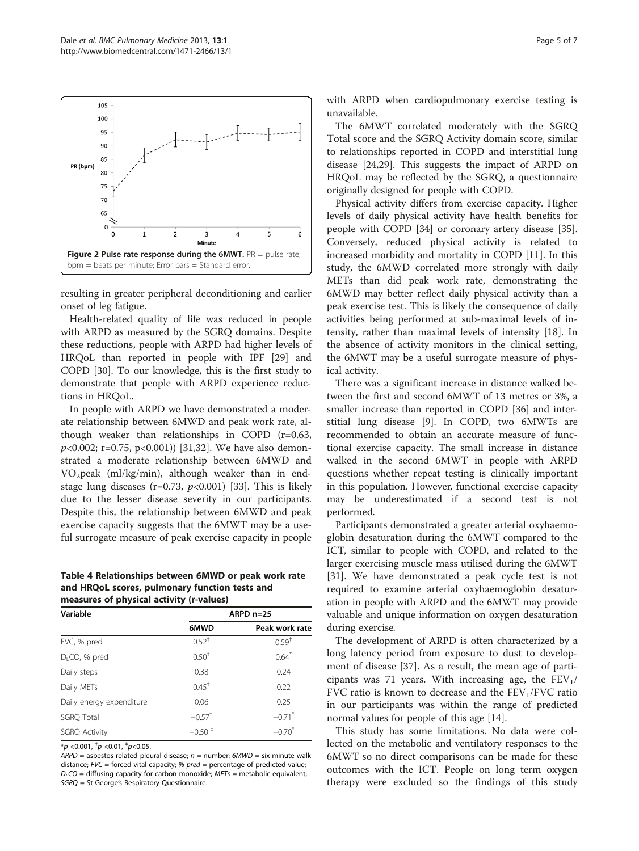<span id="page-4-0"></span>

resulting in greater peripheral deconditioning and earlier onset of leg fatigue.

Health-related quality of life was reduced in people with ARPD as measured by the SGRQ domains. Despite these reductions, people with ARPD had higher levels of HRQoL than reported in people with IPF [\[29](#page-6-0)] and COPD [[30](#page-6-0)]. To our knowledge, this is the first study to demonstrate that people with ARPD experience reductions in HRQoL.

In people with ARPD we have demonstrated a moderate relationship between 6MWD and peak work rate, although weaker than relationships in COPD (r=0.63,  $p<0.002$ ; r=0.75, p<0.001) [[31,32](#page-6-0)]. We have also demonstrated a moderate relationship between 6MWD and  $VO<sub>2</sub>peak$  (ml/kg/min), although weaker than in endstage lung diseases (r=0.73,  $p<0.001$ ) [[33](#page-6-0)]. This is likely due to the lesser disease severity in our participants. Despite this, the relationship between 6MWD and peak exercise capacity suggests that the 6MWT may be a useful surrogate measure of peak exercise capacity in people

Table 4 Relationships between 6MWD or peak work rate and HRQoL scores, pulmonary function tests and measures of physical activity (r-values)

| Variable                  | ARPD $n=25$                       |                      |  |
|---------------------------|-----------------------------------|----------------------|--|
|                           | 6MWD                              | Peak work rate       |  |
| FVC, % pred               | $0.52^+$                          | $0.59^{+}$           |  |
| D <sub>1</sub> CO, % pred | $0.50^{+}$                        | $0.64$ <sup>*</sup>  |  |
| Daily steps               | 0.38                              | 0.24                 |  |
| Daily METs                | $0.45^+$                          | 0.22                 |  |
| Daily energy expenditure  | 0.06                              | 0.25                 |  |
| <b>SGRQ Total</b>         | $-0.57$ <sup>+</sup>              | $-0.71$ <sup>*</sup> |  |
| <b>SGRQ Activity</b>      | $-0.50$ <sup><math>+</math></sup> | $-0.70$ <sup>*</sup> |  |

 $^{\ast}p$  <0.001,  $^{\dag}p$  <0.01,  $^{\dag}p$ <0.05.

 $ARPD =$  asbestos related pleural disease;  $n =$  number; 6MWD = six-minute walk distance;  $FVC =$  forced vital capacity; %  $pred =$  percentage of predicted value;  $D_{L}CO =$  diffusing capacity for carbon monoxide;  $METs =$  metabolic equivalent; SGRQ = St George's Respiratory Questionnaire.

with ARPD when cardiopulmonary exercise testing is unavailable.

The 6MWT correlated moderately with the SGRQ Total score and the SGRQ Activity domain score, similar to relationships reported in COPD and interstitial lung disease [\[24,29](#page-6-0)]. This suggests the impact of ARPD on HRQoL may be reflected by the SGRQ, a questionnaire originally designed for people with COPD.

Physical activity differs from exercise capacity. Higher levels of daily physical activity have health benefits for people with COPD [[34\]](#page-6-0) or coronary artery disease [\[35](#page-6-0)]. Conversely, reduced physical activity is related to increased morbidity and mortality in COPD [\[11](#page-5-0)]. In this study, the 6MWD correlated more strongly with daily METs than did peak work rate, demonstrating the 6MWD may better reflect daily physical activity than a peak exercise test. This is likely the consequence of daily activities being performed at sub-maximal levels of intensity, rather than maximal levels of intensity [\[18](#page-5-0)]. In the absence of activity monitors in the clinical setting, the 6MWT may be a useful surrogate measure of physical activity.

There was a significant increase in distance walked between the first and second 6MWT of 13 metres or 3%, a smaller increase than reported in COPD [[36](#page-6-0)] and interstitial lung disease [[9](#page-5-0)]. In COPD, two 6MWTs are recommended to obtain an accurate measure of functional exercise capacity. The small increase in distance walked in the second 6MWT in people with ARPD questions whether repeat testing is clinically important in this population. However, functional exercise capacity may be underestimated if a second test is not performed.

Participants demonstrated a greater arterial oxyhaemoglobin desaturation during the 6MWT compared to the ICT, similar to people with COPD, and related to the larger exercising muscle mass utilised during the 6MWT [[31\]](#page-6-0). We have demonstrated a peak cycle test is not required to examine arterial oxyhaemoglobin desaturation in people with ARPD and the 6MWT may provide valuable and unique information on oxygen desaturation during exercise.

The development of ARPD is often characterized by a long latency period from exposure to dust to development of disease [\[37\]](#page-6-0). As a result, the mean age of participants was 71 years. With increasing age, the  $FEV<sub>1</sub>/$ FVC ratio is known to decrease and the  $FEV<sub>1</sub>/FVC$  ratio in our participants was within the range of predicted normal values for people of this age [[14](#page-5-0)].

This study has some limitations. No data were collected on the metabolic and ventilatory responses to the 6MWT so no direct comparisons can be made for these outcomes with the ICT. People on long term oxygen therapy were excluded so the findings of this study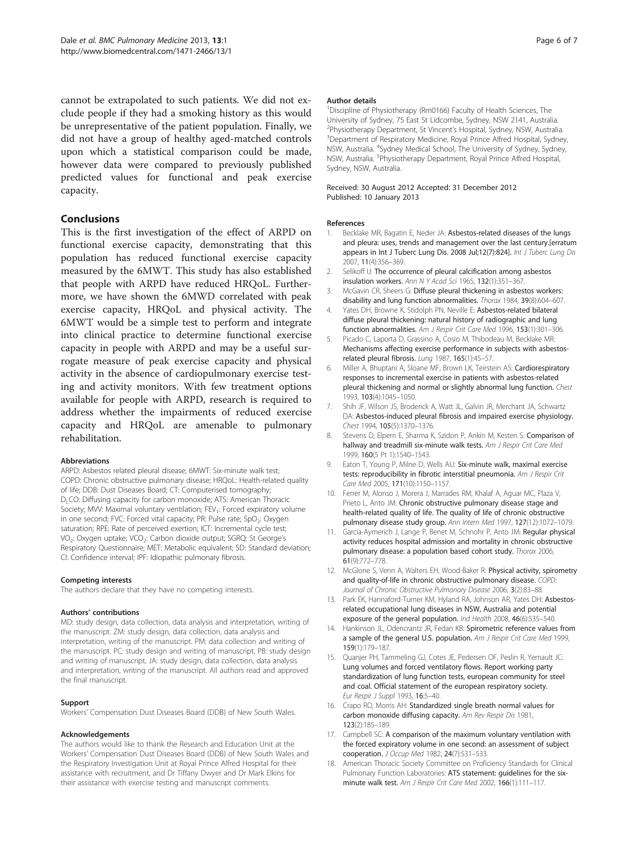<span id="page-5-0"></span>cannot be extrapolated to such patients. We did not exclude people if they had a smoking history as this would be unrepresentative of the patient population. Finally, we did not have a group of healthy aged-matched controls upon which a statistical comparison could be made, however data were compared to previously published predicted values for functional and peak exercise capacity.

## Conclusions

This is the first investigation of the effect of ARPD on functional exercise capacity, demonstrating that this population has reduced functional exercise capacity measured by the 6MWT. This study has also established that people with ARPD have reduced HRQoL. Furthermore, we have shown the 6MWD correlated with peak exercise capacity, HRQoL and physical activity. The 6MWT would be a simple test to perform and integrate into clinical practice to determine functional exercise capacity in people with ARPD and may be a useful surrogate measure of peak exercise capacity and physical activity in the absence of cardiopulmonary exercise testing and activity monitors. With few treatment options available for people with ARPD, research is required to address whether the impairments of reduced exercise capacity and HRQoL are amenable to pulmonary rehabilitation.

#### Abbreviations

ARPD: Asbestos related pleural disease; 6MWT: Six-minute walk test; COPD: Chronic obstructive pulmonary disease; HRQoL: Health-related quality of life; DDB: Dust Diseases Board; CT: Computerised tomography; D<sub>1</sub>CO: Diffusing capacity for carbon monoxide; ATS: American Thoracic Society; MW: Maximal voluntary ventilation; FEV<sub>1</sub>: Forced expiratory volume in one second; FVC: Forced vital capacity; PR: Pulse rate; SpO<sub>2</sub>: Oxygen saturation; RPE: Rate of perceived exertion; ICT: Incremental cycle test; VO<sub>2</sub>: Oxygen uptake; VCO<sub>2</sub>: Carbon dioxide output; SGRQ: St George's Respiratory Questionnaire; MET: Metabolic equivalent; SD: Standard deviation; CI: Confidence interval; IPF: Idiopathic pulmonary fibrosis.

#### Competing interests

The authors declare that they have no competing interests.

#### Authors' contributions

MD: study design, data collection, data analysis and interpretation, writing of the manuscript. ZM: study design, data collection, data analysis and interpretation, writing of the manuscript. PM: data collection and writing of the manuscript. PC: study design and writing of manuscript, PB: study design and writing of manuscript, JA: study design, data collection, data analysis and interpretation, writing of the manuscript. All authors read and approved the final manuscript.

#### Support

Workers' Compensation Dust Diseases Board (DDB) of New South Wales.

#### Acknowledgements

The authors would like to thank the Research and Education Unit at the Workers' Compensation Dust Diseases Board (DDB) of New South Wales and the Respiratory Investigation Unit at Royal Prince Alfred Hospital for their assistance with recruitment, and Dr Tiffany Dwyer and Dr Mark Elkins for their assistance with exercise testing and manuscript comments.

#### Author details

<sup>1</sup> Discipline of Physiotherapy (Rm0166) Faculty of Health Sciences, The University of Sydney, 75 East St Lidcombe, Sydney, NSW 2141, Australia. <sup>2</sup> Physiotherapy Department, St Vincent's Hospital, Sydney, NSW, Australia.<br><sup>3</sup> Department of Bespiratory Medicine, Boyal Prince Alfred Hospital, Sydne <sup>3</sup> Department of Respiratory Medicine, Royal Prince Alfred Hospital, Sydney, NSW, Australia. <sup>4</sup>Sydney Medical School, The University of Sydney, Sydney, NSW, Australia. <sup>5</sup>Physiotherapy Department, Royal Prince Alfred Hospital, Sydney, NSW, Australia.

#### Received: 30 August 2012 Accepted: 31 December 2012 Published: 10 January 2013

#### References

- 1. Becklake MR, Bagatin E, Neder JA: Asbestos-related diseases of the lungs and pleura: uses, trends and management over the last century.[erratum appears in Int J Tuberc Lung Dis. 2008 Jul;12(7):824]. Int J Tuberc Lung Dis 2007, 11(4):356–369.
- 2. Selikoff IJ: The occurrence of pleural calcification among asbestos insulation workers. Ann N Y Acad Sci 1965, 132(1):351–367.
- 3. McGavin CR, Sheers G: Diffuse pleural thickening in asbestos workers: disability and lung function abnormalities. Thorax 1984, 39(8):604–607.
- 4. Yates DH, Browne K, Stidolph PN, Neville E: Asbestos-related bilateral diffuse pleural thickening: natural history of radiographic and lung function abnormalities. Am J Respir Crit Care Med 1996, 153(1):301-306.
- 5. Picado C, Laporta D, Grassino A, Cosio M, Thibodeau M, Becklake MR: Mechanisms affecting exercise performance in subjects with asbestosrelated pleural fibrosis. Lung 1987, 165(1):45–57.
- 6. Miller A, Bhuptani A, Sloane MF, Brown LK, Teirstein AS: Cardiorespiratory responses to incremental exercise in patients with asbestos-related pleural thickening and normal or slightly abnormal lung function. Chest 1993, 103(4):1045–1050.
- 7. Shih JF, Wilson JS, Broderick A, Watt JL, Galvin JR, Merchant JA, Schwartz DA: Asbestos-induced pleural fibrosis and impaired exercise physiology. Chest 1994, 105(5):1370–1376.
- 8. Stevens D, Elpern E, Sharma K, Szidon P, Ankin M, Kesten S: Comparison of hallway and treadmill six-minute walk tests. Am J Respir Crit Care Med 1999, 160(5 Pt 1):1540–1543.
- 9. Eaton T, Young P, Milne D, Wells AU: Six-minute walk, maximal exercise tests: reproducibility in fibrotic interstitial pneumonia. Am J Respir Crit Care Med 2005, 171(10):1150–1157.
- 10. Ferrer M, Alonso J, Morera J, Marrades RM, Khalaf A, Aguar MC, Plaza V, Prieto L, Anto JM: Chronic obstructive pulmonary disease stage and health-related quality of life. The quality of life of chronic obstructive pulmonary disease study group. Ann Intern Med 1997, 127(12):1072–1079.
- 11. Garcia-Aymerich J, Lange P, Benet M, Schnohr P, Anto JM: Regular physical activity reduces hospital admission and mortality in chronic obstructive pulmonary disease: a population based cohort study. Thorax 2006, 61(9):772–778.
- 12. McGlone S, Venn A, Walters EH, Wood-Baker R: Physical activity, spirometry and quality-of-life in chronic obstructive pulmonary disease. COPD: Journal of Chronic Obstructive Pulmonary Disease 2006, 3(2):83-88.
- 13. Park EK, Hannaford-Turner KM, Hyland RA, Johnson AR, Yates DH: Asbestosrelated occupational lung diseases in NSW, Australia and potential exposure of the general population. Ind Health 2008, 46(6):535–540.
- 14. Hankinson JL, Odencrantz JR, Fedan KB: Spirometric reference values from a sample of the general U.S. population. Am J Respir Crit Care Med 1999, 159(1):179–187.
- 15. Quanjer PH, Tammeling GJ, Cotes JE, Pedersen OF, Peslin R, Yernault JC: Lung volumes and forced ventilatory flows. Report working party standardization of lung function tests, european community for steel and coal. Official statement of the european respiratory society. Eur Respir J Suppl 1993, 16:5–40.
- 16. Crapo RO, Morris AH: Standardized single breath normal values for carbon monoxide diffusing capacity. Am Rev Respir Dis 1981, 123(2):185–189.
- 17. Campbell SC: A comparison of the maximum voluntary ventilation with the forced expiratory volume in one second: an assessment of subject cooperation. J Occup Med 1982, 24(7):531–533.
- 18. American Thoracic Society Committee on Proficiency Standards for Clinical Pulmonary Function Laboratories: ATS statement: guidelines for the sixminute walk test. Am J Respir Crit Care Med 2002, 166(1):111-117.